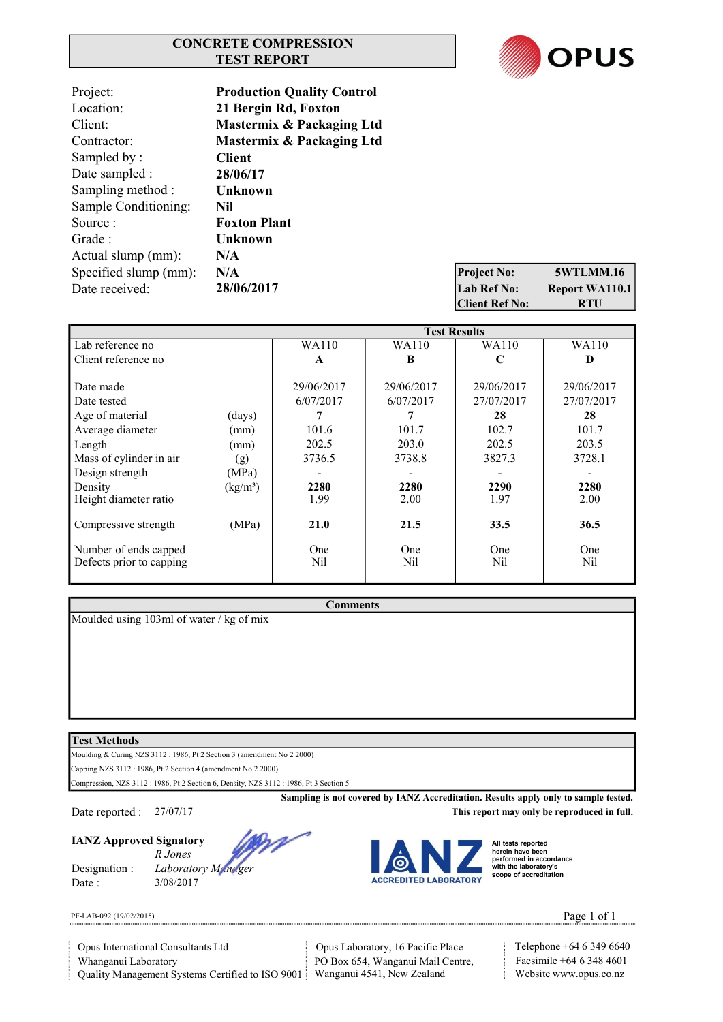## CONCRETE COMPRESSION TEST REPORT



5WTLMM.16 Report WA110.1

| Project:              | <b>Production Quality Control</b> |                       |                  |
|-----------------------|-----------------------------------|-----------------------|------------------|
| Location:             | 21 Bergin Rd, Foxton              |                       |                  |
| Client:               | Mastermix & Packaging Ltd         |                       |                  |
| Contractor:           | Mastermix & Packaging Ltd         |                       |                  |
| Sampled by:           | <b>Client</b>                     |                       |                  |
| Date sampled :        | 28/06/17                          |                       |                  |
| Sampling method :     | Unknown                           |                       |                  |
| Sample Conditioning:  | Nil                               |                       |                  |
| Source:               | <b>Foxton Plant</b>               |                       |                  |
| Grade:                | Unknown                           |                       |                  |
| Actual slump (mm):    | N/A                               |                       |                  |
| Specified slump (mm): | N/A                               | <b>Project No:</b>    | 5WTLMN           |
| Date received:        | 28/06/2017                        | Lab Ref No:           | <b>Report WA</b> |
|                       |                                   | <b>Client Ref No:</b> | <b>RTU</b>       |

|                          |                      | <b>Test Results</b> |            |            |            |
|--------------------------|----------------------|---------------------|------------|------------|------------|
| Lab reference no         |                      | WA110               | WA110      | WA110      | WA110      |
| Client reference no      |                      | A                   | B          | C          | D          |
|                          |                      |                     |            |            |            |
| Date made                |                      | 29/06/2017          | 29/06/2017 | 29/06/2017 | 29/06/2017 |
| Date tested              |                      | 6/07/2017           | 6/07/2017  | 27/07/2017 | 27/07/2017 |
| Age of material          | (days)               |                     |            | 28         | 28         |
| Average diameter         | (mm)                 | 101.6               | 101.7      | 102.7      | 101.7      |
| Length                   | (mm)                 | 202.5               | 203.0      | 202.5      | 203.5      |
| Mass of cylinder in air  | (g)                  | 3736.5              | 3738.8     | 3827.3     | 3728.1     |
| Design strength          | (MPa)                |                     |            |            |            |
| Density                  | (kg/m <sup>3</sup> ) | 2280                | 2280       | 2290       | 2280       |
| Height diameter ratio    |                      | 1.99                | 2.00       | 1.97       | 2.00       |
|                          |                      |                     |            |            |            |
| Compressive strength     | (MPa)                | 21.0                | 21.5       | 33.5       | 36.5       |
|                          |                      |                     |            |            |            |
| Number of ends capped    |                      | <b>One</b>          | One        | One        | One        |
| Defects prior to capping |                      | Nil                 | Nil        | Nil        | Nil        |
|                          |                      |                     |            |            |            |

**Comments** 

Moulded using 103ml of water / kg of mix

## Test Methods

Moulding & Curing NZS 3112 : 1986, Pt 2 Section 3 (amendment No 2 2000)

Capping NZS 3112 : 1986, Pt 2 Section 4 (amendment No 2 2000)

Compression, NZS 3112 : 1986, Pt 2 Section 6, Density, NZS 3112 : 1986, Pt 3 Section 5

Date reported : 27/07/17 This report may only be reproduced in full.

IANZ Approved Signatory

Date : 3/08/2017





Sampling is not covered by IANZ Accreditation. Results apply only to sample tested.

All tests reported herein have been performed in accordance with the laboratory's scope of accreditation

PF-LAB-092 (19/02/2015) **Page 1 of 1** 

Quality Management Systems Certified to ISO 9001 Wanganui 4541, New Zealand Website www.opus.co.nz Whanganui Laboratory Opus International Consultants Ltd Opus Laboratory, 16 Pacific Place

PO Box 654, Wanganui Mail Centre, Facsimile +64 6 348 4601

Telephone +64 6 349 6640